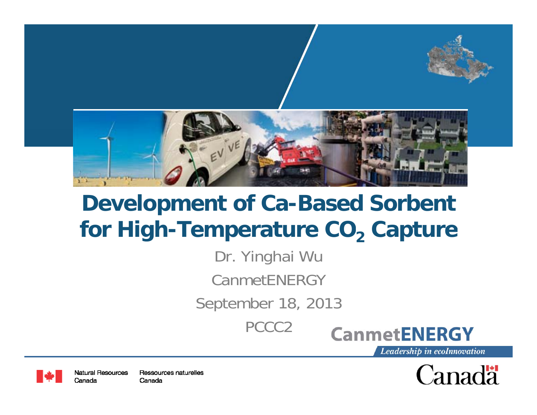

# **Development of Ca-Based Sorbent for High -Temperature CO Temperature 2 Capture**

Dr. Yinghai Wu

CanmetENERGY

September 18, 2013

PCCC2





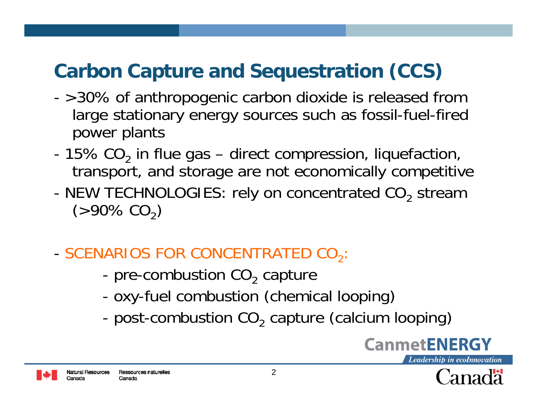# **Carbon Capture and Sequestration (CCS)**

- - >30% of anthropogenic carbon dioxide is released from large stationary energy sources such as fossil-fuel-fired power plants
- 15% CO $_{\rm 2}$  in flue gas direct compression, liquefaction, transport, and storage are not economically competitive
- -NEW TECHNOLOGIES: rely on concentrated  $CO_2$  stream (>90% CO $_{2})$
- SCENARIOS FOR CONCENTRATED CO<sub>2</sub>
	- pre-combustion CO<sub>2</sub> capture
	- oxy-fuel combustion (chemical looping)
	- post-combustion CO 2 capture (calcium looping)



Natural Resources Ressources naturelles Canada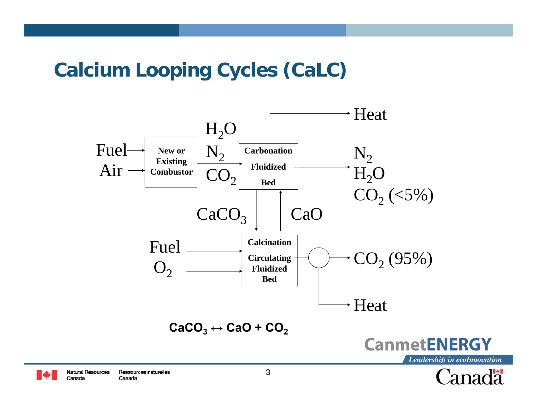#### **Ca <sup>c</sup> <sup>u</sup> oop g Cyc es (Ca C) lcium Looping Cycles (CaLC)**

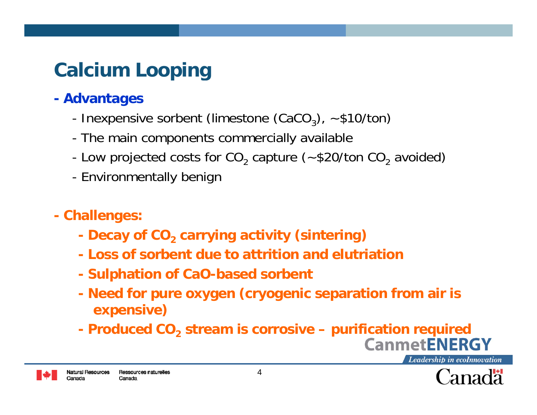# **Ca <sup>c</sup> <sup>u</sup> oop g lcium Looping**

#### **Advantages**

- Inexpensive sorbent (limestone (CaCO<sub>3</sub>),  $\sim$  \$10/ton)
- The main components commercially available
- Low projected costs for CO<sub>2</sub> capture (~\$20/ton CO<sub>2</sub> avoided)
- Environmentally benigr
- **Challenges:**
	- **Decay of CO carrying activity (sintering) <sup>2</sup>**
	- **- Loss of sorbent due to attrition and elutriation**
	- **Sulphation of CaO-based sorbent**
	- **Need for pure oxygen (cryogenic separation from air is expensive)**
	- **Produced CO<sub>2</sub> stream is corrosive purification required**

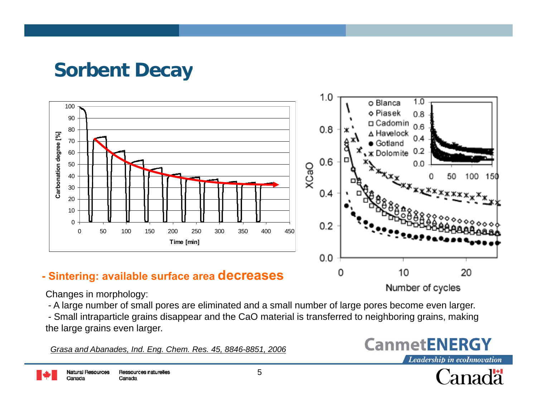#### **So be t ecay rbent Decay**



Changes in morphology:

- A large number of small pores are eliminated and a small number of large pores become even larger.

- Small intraparticle grains disappear and the CaO material is transferred to neighboring grains, making the large grains even larger.

*Grasa and Abanades, Ind. Eng. Chem. Res. 45, 8846-8851, 2006*



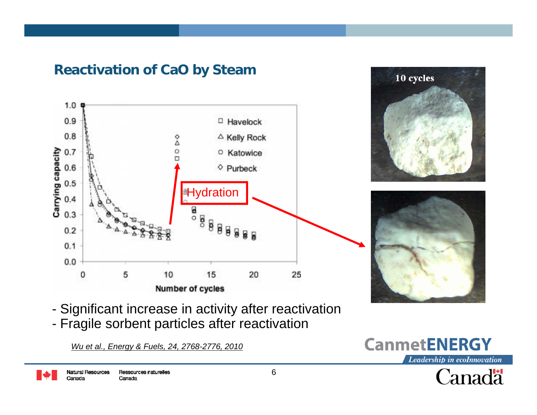

#### **Reactivation of CaO by Steam**

- -Significant increase in activity after reactivation
- -Fragile sorbent particles after reactivation

*Wu et al., Energy & Fuels, 24, 2768-2776, 2010*

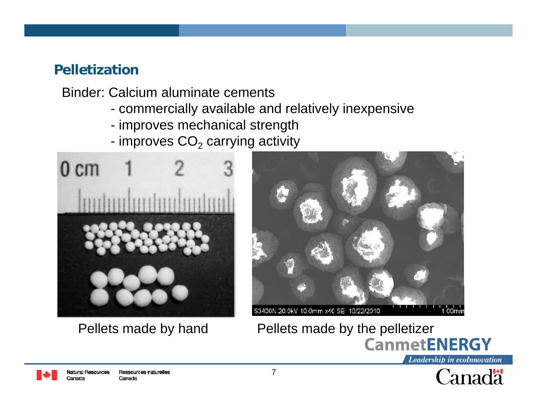#### **Pelletization**

Binder: Calcium aluminate cements

- commercially available and relatively inexpensive
- improves mechanical strength
- improves  $\mathsf{CO}_2$  carrying activity



Ressources naturelles

Canada

Natural Resources

Canada



#### S3400N 20.0kV 10.0mm x40 SE 10/22/2010 .00mm





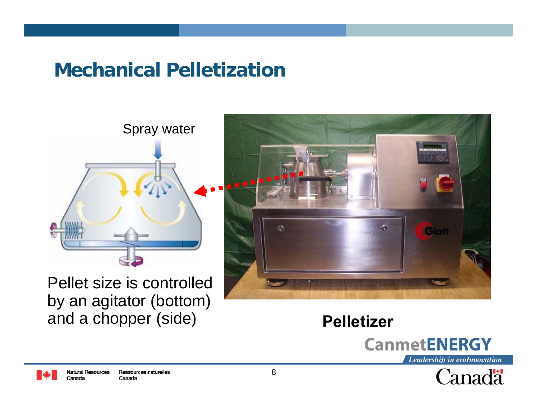#### **Mechanical Pelletization**



Pellet size is controlled by an agitator (bottom) and a chopper (side)



**Pelletizer** 





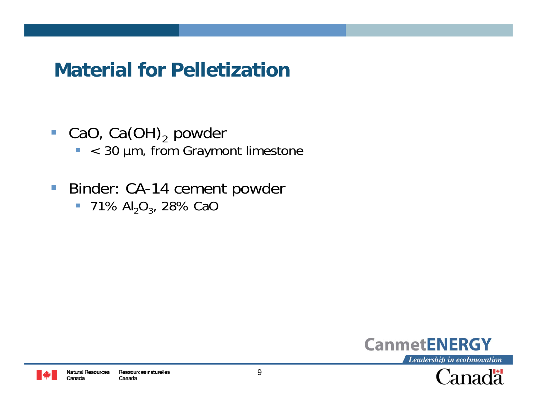#### **Material for Pelletizationate a o e et at o**

- **CaO**, Ca(OH)<sub>2</sub> powder
	- < 30 µm, from Graymont limestone
- $\mathcal{L}_{\mathcal{A}}$  Binder: CA-14 cement powder
	- $\text{}$  = 71% Al $_{2} \text{O}_{3}$ , 28% CaC



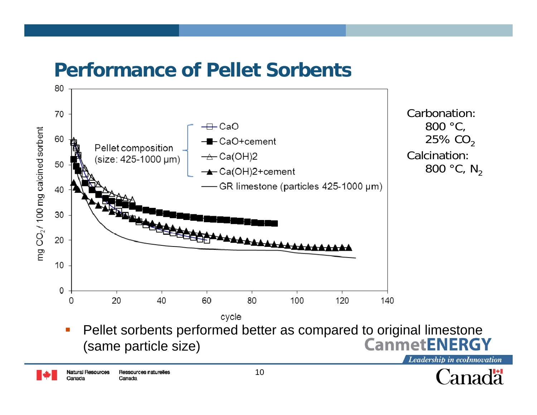#### **Performance of Pellet Sorbents**



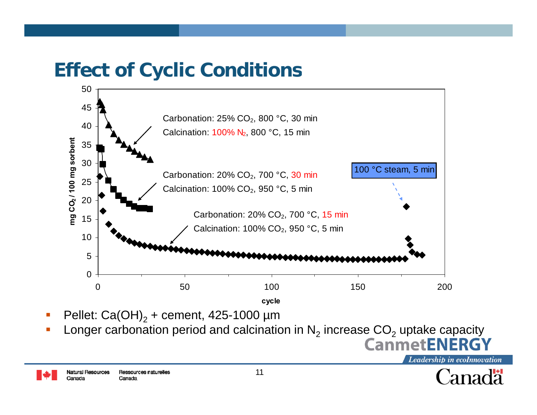#### **Effect of Cyclic Conditions ect <sup>o</sup> Cyc <sup>c</sup> Co d t <sup>o</sup> <sup>s</sup>**



- П Pellet:  $Ca(OH)<sub>2</sub>$  + cement, 425-1000 µm
- Longer carbonation period and calcination in  $N_2$  increase  $\mathsf{CO}_2$  uptake capacity

Ressources naturelles Natural Resources Canada

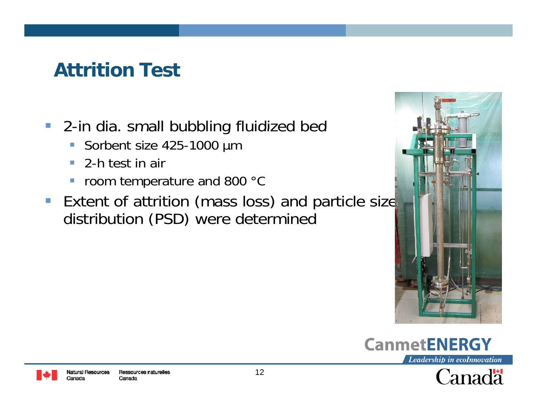#### **Attrition Testtt t o est**

- 2-in dia. small bubbling fluidized bed
	- $\Box$ Sorbent size 425-1000 µm
	- $\overline{\phantom{a}}$ 2-h test in air
	- $\overline{\phantom{a}}$ room temperature and 800 °C
- **Extent of attrition (mass loss) and particle size** distribution (PSD) were determined





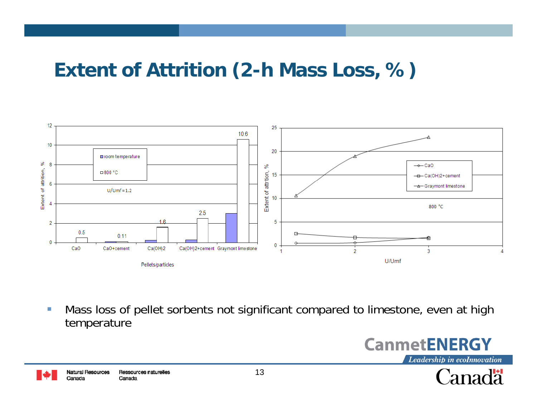#### Extent of Attrition (2-h Mass Loss, %)



Mass loss of pellet sorbents not significant compared to limestone, even at high  $\mathcal{L}$ temperature



Canadä

Ressources naturelles Natural Resources Canada Canada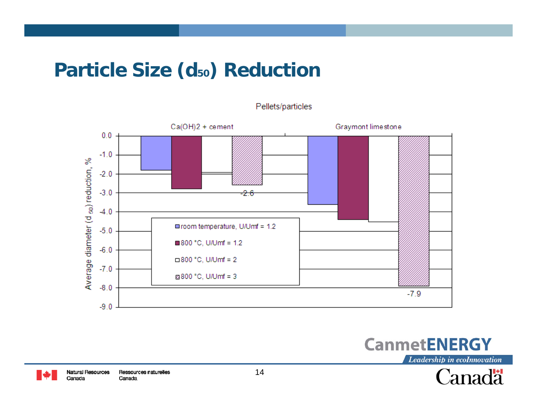#### **Particle Size (d<sub>50</sub>) Reduction**

Pellets/particles





Leadership in ecoInnovation



le y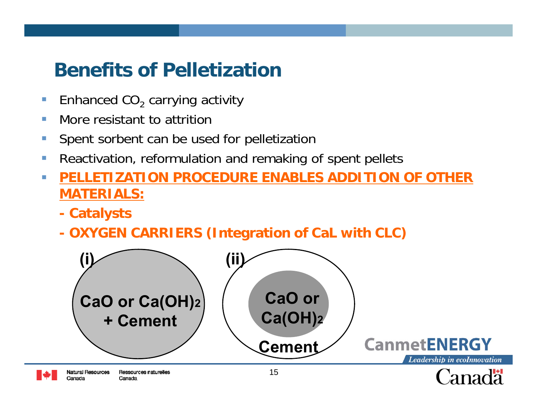#### **Be e ts o e et at o nefits of Pelletization**

- $\overline{\mathbb{R}}$  $\blacksquare$  Enhanced CO $_2$  carrying activity
- $\mathcal{C}^{\mathcal{A}}$ More resistant to attrition
- $\mathcal{C}^{\mathcal{A}}$ Spent sorbent can be used for pelletization
- $\mathcal{C}^{\mathcal{A}}$ Reactivation, reformulation and remaking of spent pellets
- $\mathcal{C}^{\mathcal{A}}$  **PELLETIZATION PROCEDURE ENABLES ADDITION OF OTHER PELLETIZATION MATERIALS:**
	- **Catalysts**
	- **OXYGEN CARRIERS (Integration of CaL with CLC) CaL**

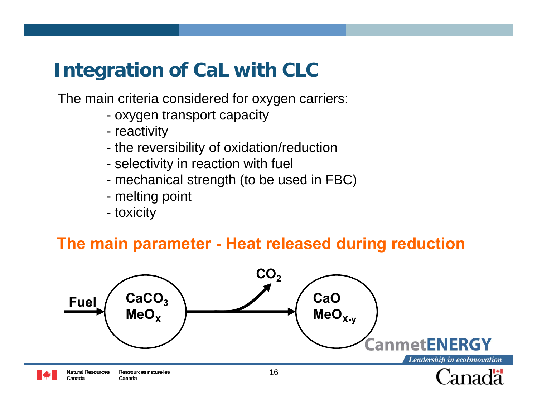The main criteria considered for oxygen carriers:

- oxygen transport capacity
- reactivity
- the reversibility of oxidation/reduction
- selectivity in reaction with fuel
- mechanical strength (to be used in FBC)
- melting point
- toxicity

#### **The main parameter - Heat released during reduction**

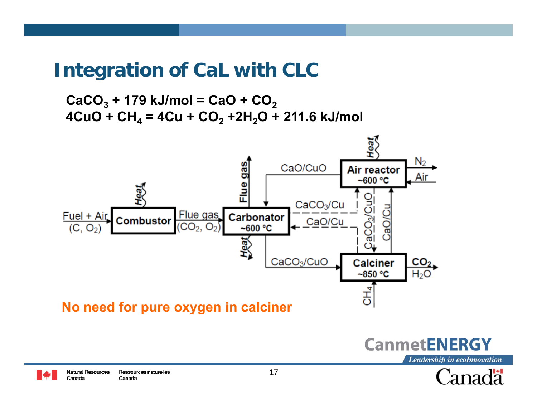**CaCO3 + 179 kJ/mol = CaO + CO2 4CuO + CH4 = 4Cu + CO2 +2H2O + 211.6 kJ/mol** 





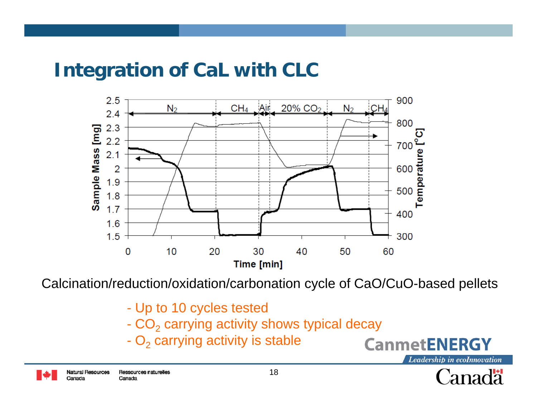

Calcination/reduction/oxidation/carbonation cycle of CaO/CuO-based pellets CaO/CuO based

- Up to 10 cycles tested
- $\mathsf{CO}_2$  carrying activity shows typical decay
- $\mathsf{O}_2$  carrying activity is stable -  $\mathrm{O}_2$  carrying activity i



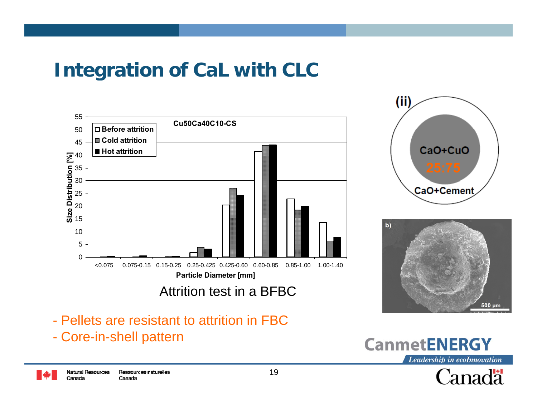





- Pellets are resistant to attrition in FBC
- -- Core-in-shell pattern

Ressources naturelles Natural Resources Canada Canada



Canadä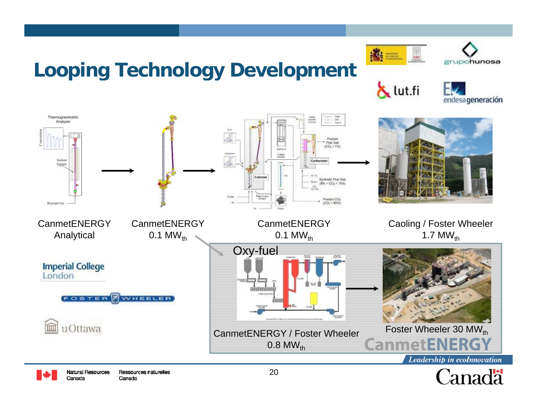### **Loop g ec <sup>o</sup> ogy <sup>e</sup> <sup>e</sup> op <sup>e</sup> t ing Technology Development**

Natural Resources

Canada

Ressources naturelles

Canada

高 ......



ut.fi





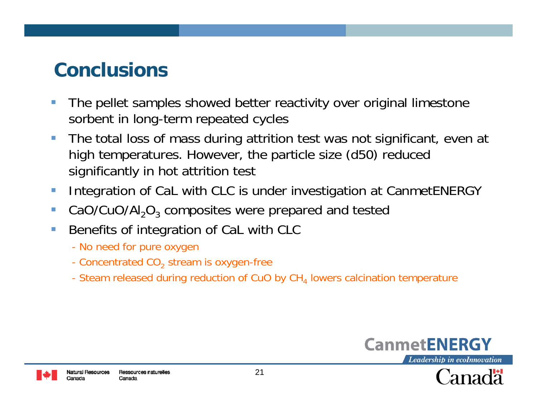#### **ConclusionsCo c us o s**

- The pellet samples showed better reactivity over original limestone sorbent in long-term repeated cycles
- $\mathcal{L}_{\mathcal{A}}$  The total loss of mass during attrition test was not significant, even at high temperatures. However, the particle size (d50) reduced significantly in hot attrition test
- $\mathcal{L}_{\mathcal{A}}$ Integration of CaL with CLC is under investigation at CanmetENERGY
- $\mathcal{L}_{\mathcal{A}}$ CaO/CuO/Al<sub>2</sub>O<sub>3</sub> composites were prepared and tested
- $\Box$  Benefits of integration of CaL with CLC
	- No need for pure oxygen
	- Concentrated CO $_2$  stream is oxygen-free
	- Steam released during reduction of CuO by CH $_{\mathrm{4}}$  lowers calcination temperature





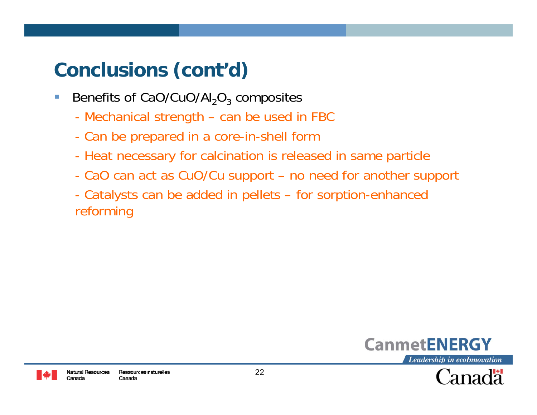## **Co <sup>c</sup> us <sup>o</sup> <sup>s</sup> (co t d) nclusions (cont'd)**

- $\mathcal{L}_{\mathcal{A}}$ Benefits of CaO/CuO/Al<sub>2</sub>O<sub>3</sub> composites
	- Mechanical strength can be used in FBC
	- Can be prepared in a core-in-shell form
	- Heat necessary for calcination is released in same particle
	- CaO can act as CuO/Cu support no need for another support
	- Catalysts can be added in pellets for sorption-enhanced reforming